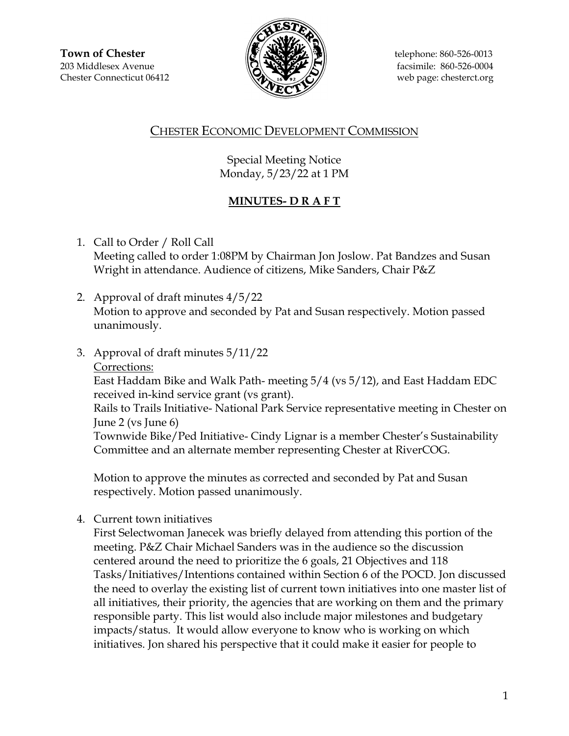

## CHESTER ECONOMIC DEVELOPMENT COMMISSION

Special Meeting Notice Monday, 5/23/22 at 1 PM

## **MINUTES- D R A F T**

- 1. Call to Order / Roll Call Meeting called to order 1:08PM by Chairman Jon Joslow. Pat Bandzes and Susan Wright in attendance. Audience of citizens, Mike Sanders, Chair P&Z
- 2. Approval of draft minutes 4/5/22 Motion to approve and seconded by Pat and Susan respectively. Motion passed unanimously.
- 3. Approval of draft minutes 5/11/22

Corrections:

East Haddam Bike and Walk Path- meeting 5/4 (vs 5/12), and East Haddam EDC received in-kind service grant (vs grant).

Rails to Trails Initiative- National Park Service representative meeting in Chester on June 2 (vs June 6)

Townwide Bike/Ped Initiative- Cindy Lignar is a member Chester's Sustainability Committee and an alternate member representing Chester at RiverCOG.

Motion to approve the minutes as corrected and seconded by Pat and Susan respectively. Motion passed unanimously.

4. Current town initiatives

First Selectwoman Janecek was briefly delayed from attending this portion of the meeting. P&Z Chair Michael Sanders was in the audience so the discussion centered around the need to prioritize the 6 goals, 21 Objectives and 118 Tasks/Initiatives/Intentions contained within Section 6 of the POCD. Jon discussed the need to overlay the existing list of current town initiatives into one master list of all initiatives, their priority, the agencies that are working on them and the primary responsible party. This list would also include major milestones and budgetary impacts/status. It would allow everyone to know who is working on which initiatives. Jon shared his perspective that it could make it easier for people to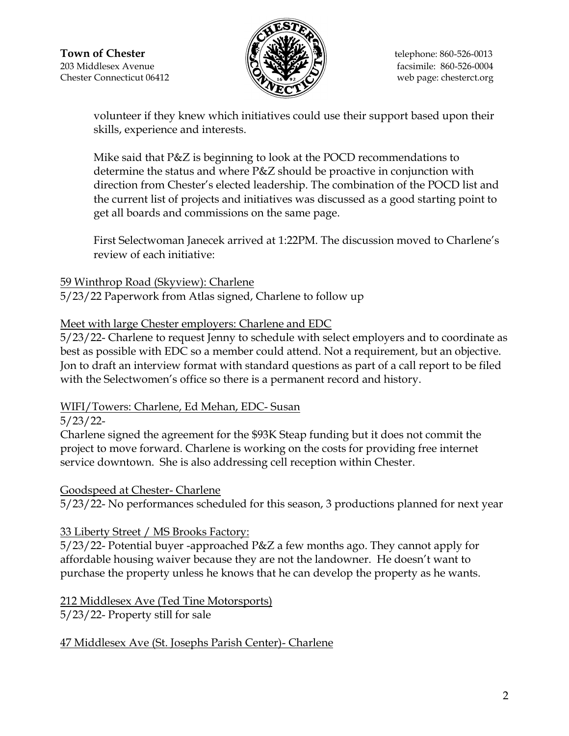

volunteer if they knew which initiatives could use their support based upon their skills, experience and interests.

Mike said that P&Z is beginning to look at the POCD recommendations to determine the status and where P&Z should be proactive in conjunction with direction from Chester's elected leadership. The combination of the POCD list and the current list of projects and initiatives was discussed as a good starting point to get all boards and commissions on the same page.

First Selectwoman Janecek arrived at 1:22PM. The discussion moved to Charlene's review of each initiative:

### 59 Winthrop Road (Skyview): Charlene

5/23/22 Paperwork from Atlas signed, Charlene to follow up

## Meet with large Chester employers: Charlene and EDC

5/23/22- Charlene to request Jenny to schedule with select employers and to coordinate as best as possible with EDC so a member could attend. Not a requirement, but an objective. Jon to draft an interview format with standard questions as part of a call report to be filed with the Selectwomen's office so there is a permanent record and history.

## WIFI/Towers: Charlene, Ed Mehan, EDC- Susan

### 5/23/22-

Charlene signed the agreement for the \$93K Steap funding but it does not commit the project to move forward. Charlene is working on the costs for providing free internet service downtown. She is also addressing cell reception within Chester.

### Goodspeed at Chester- Charlene

5/23/22- No performances scheduled for this season, 3 productions planned for next year

## 33 Liberty Street / MS Brooks Factory:

5/23/22- Potential buyer -approached P&Z a few months ago. They cannot apply for affordable housing waiver because they are not the landowner. He doesn't want to purchase the property unless he knows that he can develop the property as he wants.

# 212 Middlesex Ave (Ted Tine Motorsports)

5/23/22- Property still for sale

## 47 Middlesex Ave (St. Josephs Parish Center)- Charlene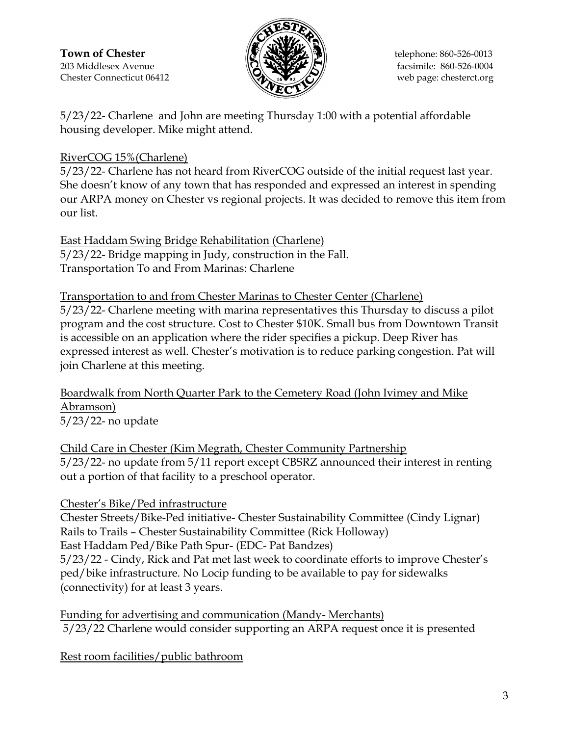**Town of Chester**  $\|\mathcal{F}\|$   $\|\mathcal{F}\|$   $\|\mathcal{F}\|$  telephone: 860-526-0013  $203$  Middlesex Avenue  $\sqrt{2}$   $\sqrt{2}$   $\sqrt{7}$  facsimile: 860-526-0004 Chester Connecticut 06412 web page: chesterct.org



5/23/22- Charlene and John are meeting Thursday 1:00 with a potential affordable housing developer. Mike might attend.

## RiverCOG 15%(Charlene)

5/23/22- Charlene has not heard from RiverCOG outside of the initial request last year. She doesn't know of any town that has responded and expressed an interest in spending our ARPA money on Chester vs regional projects. It was decided to remove this item from our list.

East Haddam Swing Bridge Rehabilitation (Charlene) 5/23/22- Bridge mapping in Judy, construction in the Fall. Transportation To and From Marinas: Charlene

Transportation to and from Chester Marinas to Chester Center (Charlene)

5/23/22- Charlene meeting with marina representatives this Thursday to discuss a pilot program and the cost structure. Cost to Chester \$10K. Small bus from Downtown Transit is accessible on an application where the rider specifies a pickup. Deep River has expressed interest as well. Chester's motivation is to reduce parking congestion. Pat will join Charlene at this meeting.

Boardwalk from North Quarter Park to the Cemetery Road (John Ivimey and Mike Abramson) 5/23/22- no update

Child Care in Chester (Kim Megrath, Chester Community Partnership 5/23/22- no update from 5/11 report except CBSRZ announced their interest in renting out a portion of that facility to a preschool operator.

Chester's Bike/Ped infrastructure

Chester Streets/Bike-Ped initiative- Chester Sustainability Committee (Cindy Lignar) Rails to Trails – Chester Sustainability Committee (Rick Holloway) East Haddam Ped/Bike Path Spur- (EDC- Pat Bandzes) 5/23/22 - Cindy, Rick and Pat met last week to coordinate efforts to improve Chester's ped/bike infrastructure. No Locip funding to be available to pay for sidewalks (connectivity) for at least 3 years.

Funding for advertising and communication (Mandy- Merchants) 5/23/22 Charlene would consider supporting an ARPA request once it is presented

Rest room facilities/public bathroom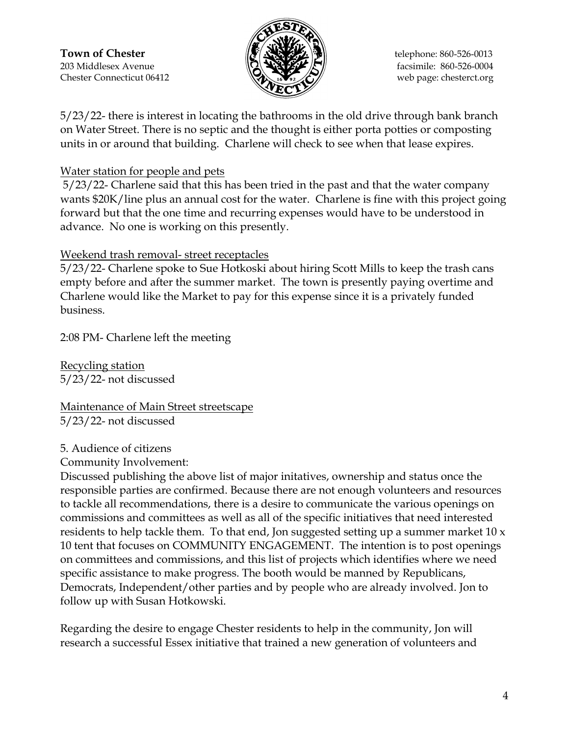**Town of Chester**  $\|\mathcal{F}\|$   $\|\mathcal{F}\|$   $\|\mathcal{F}\|$  telephone: 860-526-0013  $203$  Middlesex Avenue  $\sqrt{2}$   $\sqrt{2}$   $\sqrt{7}$  facsimile: 860-526-0004 Chester Connecticut 06412 web page: chesterct.org



5/23/22- there is interest in locating the bathrooms in the old drive through bank branch on Water Street. There is no septic and the thought is either porta potties or composting units in or around that building. Charlene will check to see when that lease expires.

### Water station for people and pets

5/23/22- Charlene said that this has been tried in the past and that the water company wants \$20K/line plus an annual cost for the water. Charlene is fine with this project going forward but that the one time and recurring expenses would have to be understood in advance. No one is working on this presently.

### Weekend trash removal- street receptacles

5/23/22- Charlene spoke to Sue Hotkoski about hiring Scott Mills to keep the trash cans empty before and after the summer market. The town is presently paying overtime and Charlene would like the Market to pay for this expense since it is a privately funded business.

2:08 PM- Charlene left the meeting

Recycling station 5/23/22- not discussed

Maintenance of Main Street streetscape 5/23/22- not discussed

### 5. Audience of citizens

#### Community Involvement:

Discussed publishing the above list of major initatives, ownership and status once the responsible parties are confirmed. Because there are not enough volunteers and resources to tackle all recommendations, there is a desire to communicate the various openings on commissions and committees as well as all of the specific initiatives that need interested residents to help tackle them. To that end, Jon suggested setting up a summer market 10  $x$ 10 tent that focuses on COMMUNITY ENGAGEMENT. The intention is to post openings on committees and commissions, and this list of projects which identifies where we need specific assistance to make progress. The booth would be manned by Republicans, Democrats, Independent/other parties and by people who are already involved. Jon to follow up with Susan Hotkowski.

Regarding the desire to engage Chester residents to help in the community, Jon will research a successful Essex initiative that trained a new generation of volunteers and